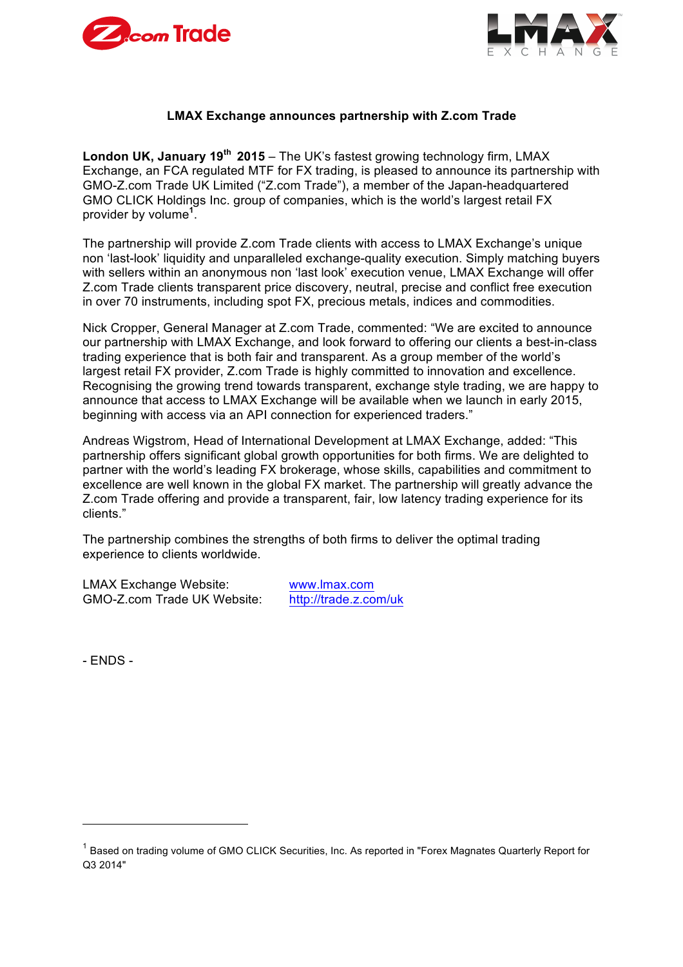



## **LMAX Exchange announces partnership with Z.com Trade**

**London UK, January 19th 2015** – The UK's fastest growing technology firm, LMAX Exchange, an FCA regulated MTF for FX trading, is pleased to announce its partnership with GMO-Z.com Trade UK Limited ("Z.com Trade"), a member of the Japan-headquartered GMO CLICK Holdings Inc. group of companies, which is the world's largest retail FX provider by volume**<sup>1</sup>** .

The partnership will provide Z.com Trade clients with access to LMAX Exchange's unique non 'last-look' liquidity and unparalleled exchange-quality execution. Simply matching buyers with sellers within an anonymous non 'last look' execution venue, LMAX Exchange will offer Z.com Trade clients transparent price discovery, neutral, precise and conflict free execution in over 70 instruments, including spot FX, precious metals, indices and commodities.

Nick Cropper, General Manager at Z.com Trade, commented: "We are excited to announce our partnership with LMAX Exchange, and look forward to offering our clients a best-in-class trading experience that is both fair and transparent. As a group member of the world's largest retail FX provider, Z.com Trade is highly committed to innovation and excellence. Recognising the growing trend towards transparent, exchange style trading, we are happy to announce that access to LMAX Exchange will be available when we launch in early 2015, beginning with access via an API connection for experienced traders."

Andreas Wigstrom, Head of International Development at LMAX Exchange, added: "This partnership offers significant global growth opportunities for both firms. We are delighted to partner with the world's leading FX brokerage, whose skills, capabilities and commitment to excellence are well known in the global FX market. The partnership will greatly advance the Z.com Trade offering and provide a transparent, fair, low latency trading experience for its clients."

The partnership combines the strengths of both firms to deliver the optimal trading experience to clients worldwide.

LMAX Exchange Website: www.lmax.com GMO-Z.com Trade UK Website: http://trade.z.com/uk

- ENDS -

<sup>&</sup>lt;sup>1</sup> Based on trading volume of GMO CLICK Securities, Inc. As reported in "Forex Magnates Quarterly Report for Q3 2014"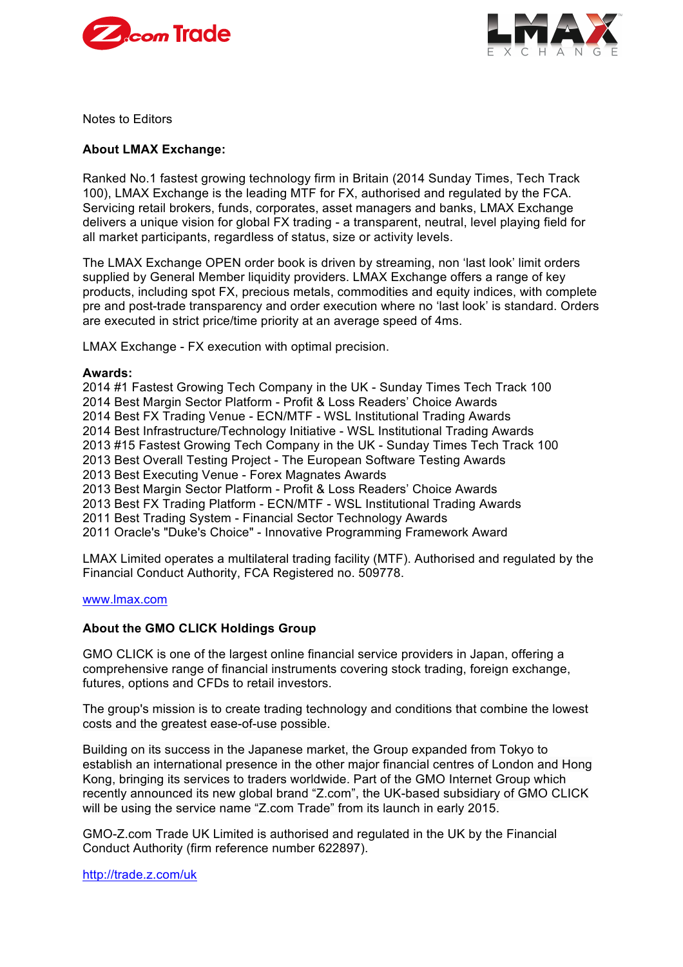



Notes to Editors

### **About LMAX Exchange:**

Ranked No.1 fastest growing technology firm in Britain (2014 Sunday Times, Tech Track 100), LMAX Exchange is the leading MTF for FX, authorised and regulated by the FCA. Servicing retail brokers, funds, corporates, asset managers and banks, LMAX Exchange delivers a unique vision for global FX trading - a transparent, neutral, level playing field for all market participants, regardless of status, size or activity levels.

The LMAX Exchange OPEN order book is driven by streaming, non 'last look' limit orders supplied by General Member liquidity providers. LMAX Exchange offers a range of key products, including spot FX, precious metals, commodities and equity indices, with complete pre and post-trade transparency and order execution where no 'last look' is standard. Orders are executed in strict price/time priority at an average speed of 4ms.

LMAX Exchange - FX execution with optimal precision.

#### **Awards:**

2014 #1 Fastest Growing Tech Company in the UK - Sunday Times Tech Track 100 2014 Best Margin Sector Platform - Profit & Loss Readers' Choice Awards 2014 Best FX Trading Venue - ECN/MTF - WSL Institutional Trading Awards 2014 Best Infrastructure/Technology Initiative - WSL Institutional Trading Awards 2013 #15 Fastest Growing Tech Company in the UK - Sunday Times Tech Track 100 2013 Best Overall Testing Project - The European Software Testing Awards 2013 Best Executing Venue - Forex Magnates Awards 2013 Best Margin Sector Platform - Profit & Loss Readers' Choice Awards 2013 Best FX Trading Platform - ECN/MTF - WSL Institutional Trading Awards 2011 Best Trading System - Financial Sector Technology Awards 2011 Oracle's "Duke's Choice" - Innovative Programming Framework Award

LMAX Limited operates a multilateral trading facility (MTF). Authorised and regulated by the Financial Conduct Authority, FCA Registered no. 509778.

#### www.lmax.com

## **About the GMO CLICK Holdings Group**

GMO CLICK is one of the largest online financial service providers in Japan, offering a comprehensive range of financial instruments covering stock trading, foreign exchange, futures, options and CFDs to retail investors.

The group's mission is to create trading technology and conditions that combine the lowest costs and the greatest ease-of-use possible.

Building on its success in the Japanese market, the Group expanded from Tokyo to establish an international presence in the other major financial centres of London and Hong Kong, bringing its services to traders worldwide. Part of the GMO Internet Group which recently announced its new global brand "Z.com", the UK-based subsidiary of GMO CLICK will be using the service name "Z.com Trade" from its launch in early 2015.

GMO-Z.com Trade UK Limited is authorised and regulated in the UK by the Financial Conduct Authority (firm reference number 622897).

http://trade.z.com/uk